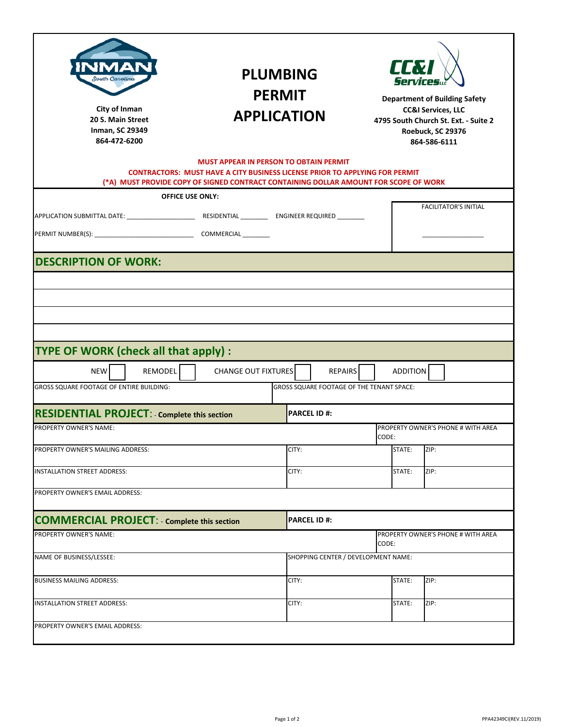| NMAN<br>South Caroline<br>City of Inman<br>20 S. Main Street<br><b>Inman, SC 29349</b><br>864-472-6200                                                                                                                                                                         | <b>PLUMBING</b><br><b>PERMIT</b><br><b>APPLICATION</b> |                                                                                   | LLX<br><b>Services</b><br><b>Department of Building Safety</b><br><b>CC&amp;I Services, LLC</b><br>4795 South Church St. Ext. - Suite 2<br>Roebuck, SC 29376<br>864-586-6111 |                                                    |  |  |  |  |
|--------------------------------------------------------------------------------------------------------------------------------------------------------------------------------------------------------------------------------------------------------------------------------|--------------------------------------------------------|-----------------------------------------------------------------------------------|------------------------------------------------------------------------------------------------------------------------------------------------------------------------------|----------------------------------------------------|--|--|--|--|
| <b>MUST APPEAR IN PERSON TO OBTAIN PERMIT</b><br><b>CONTRACTORS: MUST HAVE A CITY BUSINESS LICENSE PRIOR TO APPLYING FOR PERMIT</b><br>(*A) MUST PROVIDE COPY OF SIGNED CONTRACT CONTAINING DOLLAR AMOUNT FOR SCOPE OF WORK                                                    |                                                        |                                                                                   |                                                                                                                                                                              |                                                    |  |  |  |  |
|                                                                                                                                                                                                                                                                                | <b>OFFICE USE ONLY:</b>                                |                                                                                   |                                                                                                                                                                              |                                                    |  |  |  |  |
|                                                                                                                                                                                                                                                                                |                                                        |                                                                                   |                                                                                                                                                                              | <b>FACILITATOR'S INITIAL</b>                       |  |  |  |  |
|                                                                                                                                                                                                                                                                                |                                                        |                                                                                   |                                                                                                                                                                              |                                                    |  |  |  |  |
| <b>DESCRIPTION OF WORK:</b>                                                                                                                                                                                                                                                    |                                                        |                                                                                   |                                                                                                                                                                              |                                                    |  |  |  |  |
| TYPE OF WORK (check all that apply) :<br><b>NEW</b><br>REMODEL<br><b>GROSS SQUARE FOOTAGE OF ENTIRE BUILDING:</b><br><b>RESIDENTIAL PROJECT: - Complete this section</b><br>PROPERTY OWNER'S NAME:<br>PROPERTY OWNER'S MAILING ADDRESS:<br><b>INSTALLATION STREET ADDRESS:</b> | <b>CHANGE OUT FIXTURES</b><br>CITY:<br>CITY:           | <b>REPAIRS</b><br>GROSS SQUARE FOOTAGE OF THE TENANT SPACE:<br><b>PARCEL ID#:</b> | <b>ADDITION</b><br>CODE:<br>STATE:<br>STATE:                                                                                                                                 | PROPERTY OWNER'S PHONE # WITH AREA<br>ZIP:<br>ZIP: |  |  |  |  |
| PROPERTY OWNER'S EMAIL ADDRESS:                                                                                                                                                                                                                                                |                                                        |                                                                                   |                                                                                                                                                                              |                                                    |  |  |  |  |
| <b>COMMERCIAL PROJECT: - Complete this section</b>                                                                                                                                                                                                                             |                                                        | <b>PARCEL ID#:</b>                                                                |                                                                                                                                                                              |                                                    |  |  |  |  |
| PROPERTY OWNER'S NAME:                                                                                                                                                                                                                                                         |                                                        |                                                                                   | CODE:                                                                                                                                                                        | PROPERTY OWNER'S PHONE # WITH AREA                 |  |  |  |  |
| NAME OF BUSINESS/LESSEE:                                                                                                                                                                                                                                                       |                                                        | SHOPPING CENTER / DEVELOPMENT NAME:                                               |                                                                                                                                                                              |                                                    |  |  |  |  |
| <b>BUSINESS MAILING ADDRESS:</b>                                                                                                                                                                                                                                               | CITY:                                                  |                                                                                   | STATE:                                                                                                                                                                       | ZIP:                                               |  |  |  |  |
| INSTALLATION STREET ADDRESS:                                                                                                                                                                                                                                                   | CITY:                                                  |                                                                                   | STATE:                                                                                                                                                                       | ZIP:                                               |  |  |  |  |